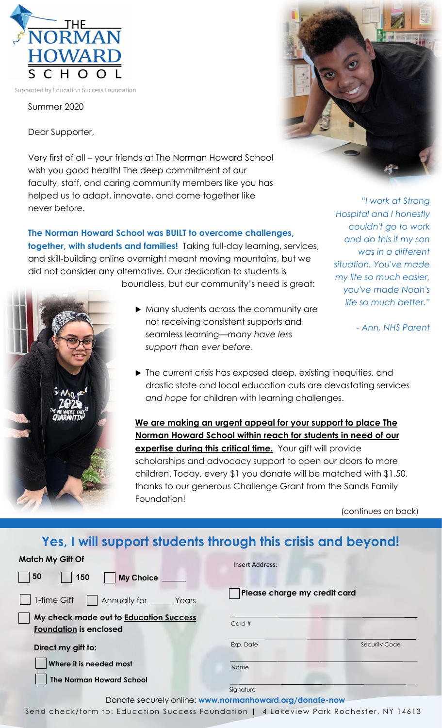

Summer 2020

Dear Supporter,

Very first of all – your friends at The Norman Howard School wish you good health! The deep commitment of our faculty, staff, and caring community members like you has helped us to adapt, innovate, and come together like never before.

## **The Norman Howard School was BUILT to overcome challenges,**

**together, with students and families!** Taking full-day learning, services, and skill-building online overnight meant moving mountains, but we did not consider any alternative. Our dedication to students is boundless, but our community's need is great:



- Many students across the community are not receiving consistent supports and seamless learning—*many have less support than ever before*.
- ▶ The current crisis has exposed deep, existing inequities, and drastic state and local education cuts are devastating services *and hope* for children with learning challenges.

**We are making an urgent appeal for your support to place The Norman Howard School within reach for students in need of our expertise during this critical time.** Your gift will provide scholarships and advocacy support to open our doors to more children. Today, every \$1 you donate will be matched with \$1.50, thanks to our generous Challenge Grant from the Sands Family Foundation!

(continues on back)

## **Yes, I will support students through this crisis and beyond!**

| <b>Match My Gift Of</b>                                                 | <b>Insert Address:</b>            |  |
|-------------------------------------------------------------------------|-----------------------------------|--|
| 50<br>150<br><b>My Choice</b>                                           |                                   |  |
| 1-time Gift<br>Annually for _______ Years                               | Please charge my credit card      |  |
| My check made out to Education Success<br><b>Foundation</b> is enclosed | Card#                             |  |
| Direct my gift to:                                                      | Exp. Date<br><b>Security Code</b> |  |
| Where it is needed most                                                 | Name                              |  |
| <b>The Norman Howard School</b>                                         | Signature                         |  |



Send check/form to: Education Success Foundation | 4 Lakeview Park Rochester, NY 14613



*"I work at Strong* 

*was in a different* 

*- Ann, NHS Parent*

*Hospital and I honestly couldn't go to work and do this if my son* 

*situation. You've made my life so much easier, you've made Noah's life so much better."*